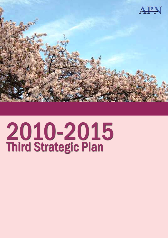

# 2010-2015<br>Third Strategic Plan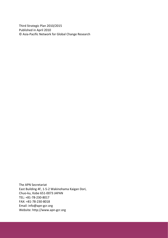Third Strategic Plan 2010/2015 Published in April 2010 © Asia‐Pacific Network for Global Change Research

The APN Secretariat East Building 4F, 1‐5‐2 Wakinohama Kaigan Dori, Chuo‐ku, Kobe 651‐0073 JAPAN TEL: +81‐78‐230‐8017 FAX: +81‐78‐230‐8018 Email: info@apn‐gcr.org Website: http://www.apn‐gcr.org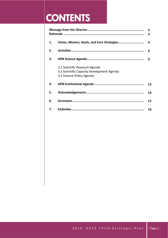## **CONTENTS**

| 2<br>3 |                                                                                                           |    |
|--------|-----------------------------------------------------------------------------------------------------------|----|
| 1.     | Vision, Mission, Goals, and Core Strategies                                                               | 4  |
| 2.     |                                                                                                           | 6  |
| З.     |                                                                                                           | q  |
|        | 3.1 Scientific Research Agenda<br>3.2 Scientific Capacity Development Agenda<br>3.3 Science-Policy Agenda |    |
| 4.     |                                                                                                           | 12 |
| 5.     |                                                                                                           | 14 |
| 6.     |                                                                                                           | 15 |
| 7.     |                                                                                                           | 16 |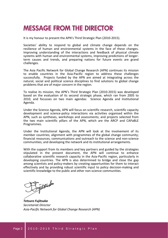### **MESSAGE FROM THE DIRECTOR**

It is my honour to present the APN's Third Strategic Plan (2010‐2015).

Societies' ability to respond to global and climate change depends on the resilience of human and environmental systems in the face of these changes. Improving understanding of the interactions and feedback of physical climate systems with human and environmental systems, improving predictions of longer‐ term causes and trends, and preparing nations for future events are grand challenges.

The Asia Pacific Network for Global Change Research (APN) continues its mission to enable countries in the Asia‐Pacific region to address these challenges successfully. Projects funded by the APN are aimed at integrating across the natural, social and political science disciplines to find solutions to global change problems that are of major concern in the region.

To realise its mission, the APN's Third Strategic Plan (2010‐2015) was developed based on the evaluation of its second strategic phase, which ran from 2005 to 2010, and focusses on two main agendas: Science Agenda and Institutional Agenda.

Under the Science Agenda, APN will focus on scientific research, scientific capacity development and science‐policy interactions via activities organised within the APN, such as syntheses, workshops and assessments; and projects selected from the two main scientific pillars of the APN, which are the ARCP and CAPaBLE Programmes.

Under the Institutional Agenda, the APN will look at the involvement of its member countries; alignment with programmes of the global change community; financial resources; communications and outreach to the science and non‐science communities; and developing the network and its institutional arrangements.

With the support from its members and key partners and guided by the strategies stipulated in the present document, the APN will continue to enhance collaborative scientific research capacity in the Asia‐Pacific region, particularly in developing countries. The APN is also determined to bridge and close the gap among scientists and policy‐makers by creating opportunities for them to interact effectively and by providing robust scientific input to policy decision‐making and scientific knowledge to the public and other non‐science communities.

typtack

*Tetsuro Fujitsuka Secretariat Director Asia‐Pacific Network for Global Change Research (APN)*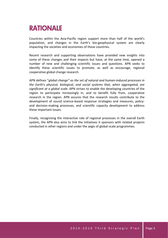## **RATIONALE**

Countries within the Asia‐Pacific region support more than half of the world's population, and changes in the Earth's bio‐geophysical system are clearly impacting the societies and economies of these countries.

Recent research and supporting observations have provided new insights into some of these changes and their impacts but have, at the same time, opened a number of new and challenging scientific issues and questions. APN seeks to identify these scientific issues to promote, as well as encourage, regional cooperative global change research.

APN defines "*global change" as the set of natural and human‐induced processes in the Earth's physical, biological, and social systems that, when aggregated, are significant at a global scale*. APN strives to enable the developing countries of the region to participate increasingly in, and to benefit fully from, cooperative research in the region. APN assures that the research results contribute to the development of sound science-based response strategies and measures, policyand decision-making processes, and scientific capacity development to address these important issues.

Finally, recognising the interactive role of regional processes in the overall Earth system, the APN also aims to link the initiatives it sponsors with related projects conducted in other regions and under the aegis of global‐scale programmes.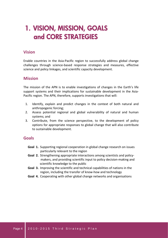## **1. VISION, MISSION, GOALS and CORE STRATEGIES**

#### **Vision**

Enable countries in the Asia‐Pacific region to successfully address global change challenges through science‐based response strategies and measures, effective science and policy linkages, and scientific capacity development.

#### **Mission**

The mission of the APN is to enable investigations of changes in the Earth's life support systems and their implications for sustainable development in the Asia-Pacific region*.* The APN, therefore, supports investigations that will:

- 1. Identify, explain and predict changes in the context of both natural and anthropogenic forcing;
- 2. Assess potential regional and global vulnerability of natural and human systems; and
- 3. Contribute, from the science perspective, to the development of policy options for appropriate responses to global change that will also contribute to sustainable development.

#### **Goals**

- **Goal 1.** Supporting regional cooperation in global change research on issues particularly relevant to the region
- **Goal 2.** Strengthening appropriate interactions among scientists and policy- makers, and providing scientific input to policy decision‐making and scientific knowledge to the public
- **Goal 3.** Improving the scientific and technical capabilities of nations in the region, including the transfer of know‐how and technology
- **Goal 4.** Cooperating with other global change networks and organisations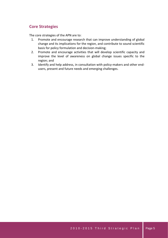#### **Core Strategies**

The core strategies of the APN are to:

- 1. Promote and encourage research that can improve understanding of global change and its implications for the region, and contribute to sound scientific basis for policy formulation and decision‐making;
- 2. Promote and encourage activities that will develop scientific capacity and improve the level of awareness on global change issues specific to the region; and
- 3. Identify and help address, in consultation with policy-makers and other endusers, present and future needs and emerging challenges.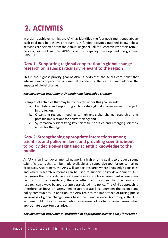## **2. ACTIVITIES**

In order to achieve its mission, APN has identified the four goals mentioned above. Each goal may be achieved through APN‐funded activities outlined below. These activities are selected from the Annual Regional Call for Research Proposals (ARCP) process, as well as the APN's scientific capacity development programme, CAPaBLE.

#### *Goal 1***. Supporting regional cooperation in global change research on issues particularly relevant to the region**

This is the highest priority goal of APN. It addresses the APN's core belief that international cooperation is essential to identify the causes and address the impacts of global change.

#### *Key Investment Instrument: Underpinning knowledge creation*

Examples of activities that may be conducted under this goal include:

- a. Facilitating and supporting collaborative global change research projects in the region;
- b. Organising regional meetings to highlight global change research and its possible implications for policy‐making; and
- c. Systematically identifying key scientific priorities and emerging scientific issues for the region.

#### *Goal 2.* **Strengthening appropriate interactions among scientists and policy‐makers, and providing scientific input to policy decision‐making and scientific knowledge to the public**

As APN is an inter‐governmental network, a high priority goal is to produce sound scientific results that can be made available as a supportive tool for policy‐making processes. Accordingly, the APN will support research where knowledge gaps exist and where research outcomes can be used to support policy development. APN recognises that policy decisions are made in a complex environment where many factors must be considered; there is often no guarantee that the results of research can always be appropriately translated into policy. The APN's approach is, therefore, to focus on strengthening appropriate links between the science and policy communities. In addition, the APN realises the importance of raising public awareness of global change issues based on sound science. Accordingly, the APN will use public fora to raise public awareness of global change issues when appropriate opportunities arise.

#### *Key Investment Instrument: Facilitation of appropriate science‐policy interaction*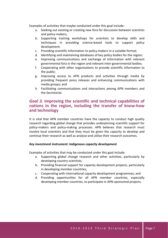Examples of activities that maybe conducted under this goal include:

- a. Seeking out existing or creating new fora for discussion between scientists and policy‐makers;
- b. Supporting training workshops for scientists to develop skills and techniques in providing science‐based tools to support policy development;
- c. Providing scientific information to policy‐makers in a suitable format;
- d. Identifying and maintaining databases of key policy bodies for the region;
- e. Improving communications and exchange of information with relevant governmental fora in the region and relevant inter‐governmental bodies;
- f. Cooperating with other organisations to provide scientific information to the public;
- g. Improving access to APN products and activities through media by providing frequent press releases and enhancing communications with media groups; and
- h. Facilitating communications and interactions among APN members and the Secretariat.

#### *Goal 3***. Improving the scientific and technical capabilities of nations in the region, including the transfer of know‐how and technology**

It is vital that APN member countries have the capacity to conduct high quality research regarding global change that provides underpinning scientific support for policy‐makers and policy‐making processes. APN believes that research must involve local scientists and that they must be given the capacity to develop and continue their research as well as analyse and utilise their research outcomes.

#### *Key investment instrument: Indigenous capacity development*

Examples of activities that may be conducted under this goal include:

- a. Supporting global change research and other activities, particularly by developing country scientists;
- b. Providing financial support for capacity development projects, particularly in developing member countries;
- c. Cooperating with international capacity development programmes; and
- d. Providing opportunities for all APN member countries, especially developing member countries, to participate in APN‐sponsored projects.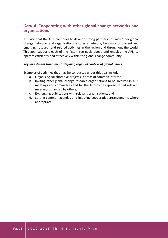#### *Goal 4***. Cooperating with other global change networks and organisations**

It is vital that the APN continues to develop strong partnerships with other global change networks and organisations and, as a network, be aware of current and emerging research and related activities in the region and throughout the world. This goal supports each of the first three goals above and enables the APN to operate efficiently and effectively within the global change community.

#### *Key Investment Instrument: Defining regional context of global issues*

Examples of activities that may be conducted under this goal include:

- a. Organising collaborative projects in areas of common interest;
- b. Inviting other global change research organisations to be involved in APN meetings and committees and for the APN to be represented at relevant meetings organised by others;
- c. Exchanging publications with relevant organisations; and
- d. Setting common agendas and initiating cooperative arrangements where appropriate.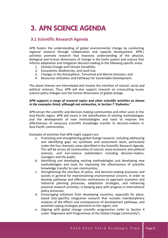## **3. APN SCIENCE AGENDA**

#### **3.1 Scientific Research Agenda**

APN fosters the understanding of global environmental change by conducting regional research through collaboration and capacity development. APN's activities promote research that improves understanding of the physical, biological and human dimensions of change in the Earth system and science that informs adaptation and mitigation decision‐making in the following specific areas:

- 1. Climate Change and Climate Variability;
- 2. Ecosystems, Biodiversity, and Land Use;
- 3. Changes in the Atmospheric, Terrestrial and Marine Domains; and
- 4. Resources Utilisation and Pathways for Sustainable Development.

The above themes are interrelated and involve the interface of natural, social and political sciences. Thus, APN will also support research on crosscutting issues, science‐policy linkages and the human dimensions of global change.

#### *APN supports a range of research topics and other scientific activities as shown in the examples listed, although not exhaustive, in Section 7 'Endnotes.'*

APN serves the scientific and decision-making communities and other users in the Asia‐Pacific region. APN will invest in the identification of existing methodologies and the development of new methodologies and tools to improve the effectiveness of necessary scientific knowledge transfer to decision-makers in Asia‐Pacific communities.

Examples of activities that APN might support are:

- a. Promoting and strengthening global change research, including addressing and identifying gaps via syntheses and assessment work, particularly under the four thematic areas identified in the Scientific Research Agenda. This will be across all communities of natural, socio‐economic and political sciences, and non-science stakeholders including decision-makers, managers and the public.
- b. Identifying and developing existing methodologies and developing new methodologies and tools for improving the effectiveness of scientific knowledge transfer to user communities;
- c. Strengthening the interface of policy‐ and decision‐making processes and society in general for mainstreaming environmental concern, in order to develop pathways and effective mechanisms to approach economic and industrial planning processes, adaptation strategies, and enhancing practical research activities, in keeping pace with progress in international policy processes;
- d. Encouraging initiatives from developing countries, especially for place‐ based (site‐specific) integrative research that includes interdisciplinary analyses of the effects and consequences of development pathways, and potential coping strategies pertinent to the region; and
- e. Aligning with global change scientific programmes (refer to Section 4 under 'Alignment with Programmes of the Global Change Community').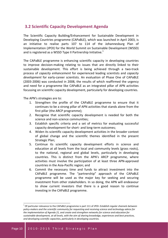#### **3.2 Scientific Capacity Development Agenda**

The Scientific Capacity Building/Enhancement for Sustainable Development in Developing Countries programme (CAPaBLE), which was launched in April 2003, is an initiative to realise parts 107 to 114 of the Johannesburg Plan of Implementation (JPOI) for the World Summit on Sustainable Development (WSSD) and is registered as a WSSD Type II Partnership Initiative.<sup>1</sup>

The CAPaBLE programme is enhancing scientific capacity in developing countries to improve decision‐making relating to issues that are directly linked to their sustainable development. This effort is being achieved through a two-track process of *capacity enhancement* for experienced leading scientists and *capacity development* for early‐career scientists. An evaluation of Phase One of CAPaBLE (2003‐2006) was conducted in 2008, the results of which reaffirmed the urgency and need for a programme like CAPaBLE as an integrated pillar of APN activities focussing on scientific capacity development, particularly for developing countries.

The APN's strategies are to:

- 1. Strengthen the profile of the CAPaBLE programme to ensure that it continues to be a strong pillar of APN activities that stands alone from the first pillar (the ARCP programme);
- 2. Recognise that scientific capacity development is needed for both the science and non‐science communities;
- 3. Establish specific criteria and a set of metrics for evaluating successful capacity development for short‐ and long‐term outcomes;
- 4. Widen its scientific capacity development activities in the broader context of global change and the scientific themes identified in the present Strategic Plan;
- 5. Continue its scientific capacity development efforts in science and education at all levels from the local and community levels (grass roots), to the national, regional and global levels, particularly in developing countries. This is distinct from the APN's ARCP programme, where activities must involve the participation of at least three APN‐approved countries in the Asia‐Pacific region; and
- 6. Commit the necessary time and funds to attract investment into the CAPaBLE programme. The "partnership" approach of the CAPaBLE programme will be used as the major key for seeking and securing investment from other stakeholders. In so doing, the APN will endeavour to show current investors that there is a good reason to continue investing in the CAPaBLE programme.

 $\overline{a}$ 

<sup>1</sup> Of particular relevance to the CAPaBLE programme is part 111 of JPOI: *Establish regular channels between policy‐makers and the scientific community for requesting and receiving science and technology advice for the implementation of Agenda 21, and create and strengthen networks for science and education for sustainable development, at all levels, with the aim of sharing knowledge, experiences and best practices, and developing scientific capacities, particularly in developing countries.*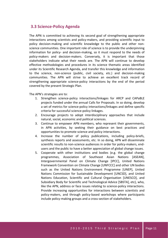#### **3.3 Science‐Policy Agenda**

The APN is committed to achieving its second goal of strengthening appropriate interactions among scientists and policy‐makers, and providing scientific input to policy decision‐making and scientific knowledge to the public and other non‐ science communities. One important role of science is to provide the underpinning information for policy‐ and decision‐making, so it must respond to the needs of policy-makers and decision-makers. Conversely, it is important that those stakeholders indicate what their needs are. The APN will continue to develop effective methodologies and procedures in its science thematic areas identified under its Scientific Research Agenda, and transfer this knowledge and information to the science, non-science (public, civil society, etc.) and decision-making communities. The APN will strive to achieve an excellent track record of strengthening appropriate science‐policy interactions by the end of the period covered by the present Strategic Plan.

The APN's strategies are to:

- 1. Strengthen science-policy interactions/linkages for ARCP and CAPaBLE projects funded under the annual Calls for Proposals. In so doing, develop a set of metrics for science‐policy interactions/linkages and define specific criteria for successful science‐policy linkages.
- 2. Encourage projects to adopt interdisciplinary approaches that include natural, social, economic and political sciences.
- 3. Continue to empower APN members, who represent their governments, in APN activities, by seeking their guidance on best practices and opportunities to promote science and policy interactions.
- 4. Increase the number of policy publications, including policy-briefs, synthesis reports and assessments, etc. In so doing, APN will disseminate scientific results to non-science audiences in order for policy-makers, endusers and the public to have a better appreciation of global change issues.
- 5. Cooperate with other institutions and bodies (e.g. the global change programmes, Association of Southeast Asian Nations [ASEAN], Intergovernmental Panel on Climate Change [IPCC], United Nations Framework Convention on Climate Change [UNFCCC] and other UN bodies such as the United Nations Environment Programme [UNEP], United Nations Commission for Sustainable Development [UNCSD], and United Nations Education, Scientific and Cultural Organisation [UNESCO], and Subsidiary Body for Scientific and Technological Advice [SBSTA], etc), who, like the APN, address or face issues relating to science-policy interactions. Provide increasing opportunities for interactions between scientists and policy‐makers, and through policy‐based workshops where participants include policy‐making groups and a cross‐section of stakeholders.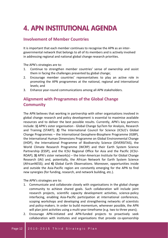## **4. APN INSTITUTIONAL AGENDA**

#### **Involvement of Member Countries**

It is important that each member continues to recognise the APN as an inter‐ governmental network that belongs to all of its members and is actively involved in addressing regional and national global change research priorities.

The APN's strategies are to:

- 1. Continue to strengthen member countries' sense of ownership and assist them in facing the challenges presented by global change;
- 2. Encourage member countries' representatives to play an active role in promoting the APN programmes at the national, regional and international levels; and
- 3. Enhance year‐round communications among all APN stakeholders.

#### **Alignment with Programmes of the Global Change Community**

The APN believes that working in partnership with other organisations involved in global change research and policy development is essential to maximise available resources and to deliver the best possible results. Currently, APN's key partners include: **1)** APN's sister organisation ‐ Global Change SysTem for Analysis, Research and Training (START); **2)** The International Council for Science (ICSU)'s Global Change Programmes – the International Geosphere‐Biosphere Programme (IGBP), the International Human Dimensions Programme on Global Environmental Change (IHDP), the International Programme of Biodiversity Science (DIVERSITAS), the World Climate Research Programme (WCRP) and their Earth System Science Partnership (ESSP), and the ICSU Regional Office for Asia and the Pacific (ICSU‐ ROAP); **3)** APN's sister network(s) – the Inter‐American Institute for Global Change Research (IAI) and, potentially, the African Network for Earth System Science (AfricanNESS); and **4)** Global Earth Observations. Moreover, opportunities inside and outside the Asia‐Pacific region are constantly emerging for the APN to find new synergies (for funding, research, and network building, etc.).

The APN's strategies are to:

- 1. Communicate and collaborate closely with organisations in the global change community to achieve shared goals. Such collaboration will include joint research projects, scientific capacity development activities, science‐policy interfacing, enabling Asia‐Pacific participation at international conferences, scoping workshops and developing and strengthening networks of scientists and policy-makers. In order to build momentum, whenever possible, the APN will plan joint activities using a multi-year timeframe (e.g. two to three years);
- 2. Encourage APN‐initiated and APN‐funded projects to proactively seek collaboration with institutes and organisations that provide co‐sponsorship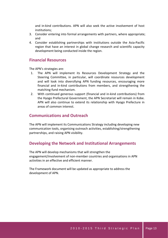and in‐kind contributions. APN will also seek the active involvement of host institutions;

- 3. Consider entering into formal arrangements with partners, where appropriate; and
- 4. Consider establishing partnerships with institutions outside the Asia‐Pacific region that have an interest in global change research and scientific capacity development being conducted inside the region.

#### **Financial Resources**

The APN's strategies are:

- 1. The APN will implement its Resources Development Strategy and the Steering Committee, in particular, will coordinate resources development and will look into diversifying APN funding resources, encouraging more financial and in‐kind contributions from members, and strengthening the matching‐fund mechanism.
- 2. With continued generous support (financial and in-kind contributions) from the Hyogo Prefectural Government, the APN Secretariat will remain in Kobe. APN will also continue to extend its relationship with Hyogo Prefecture in areas of common interest.

#### **Communications and Outreach**

The APN will implement its Communications Strategy including developing new communication tools, organising outreach activities, establishing/strengthening partnerships, and raising APN visibility.

#### **Developing the Network and Institutional Arrangements**

The APN will develop mechanisms that will strengthen the engagement/involvement of non‐member countries and organisations in APN activities in an effective and efficient manner.

The Framework document will be updated as appropriate to address the development of APN.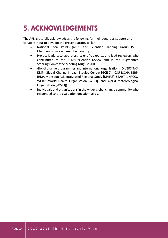## **5. ACKNOWLEDGEMENTS**

The APN gratefully acknowledges the following for their generous support and valuable input to develop the present Strategic Plan:

- National Focal Points (nFPs) and Scientific Planning Group (SPG) Members from each member country.
- Project leaders/collaborators, scientific experts, and lead reviewers who contributed to the APN's scientific review and in the Augmented Steering Committee Meeting (August 2009).
- Global change programmes and international organisations (DIVERSITAS, ESSP, Global Change Impact Studies Centre [GCISC], ICSU‐ROAP, IGBP, IHDP, Monsoon Asia Integrated Regional Study [MAIRS], START, UNFCCC, WCRP, World Health Organisation [WHO], and World Meteorological Organisation [WMO]).
- Individuals and organisations in the wider global change community who responded to the evaluation questionnaires.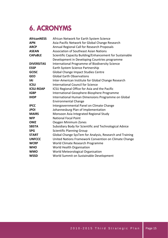## **6. ACRONYMS**

| <b>AfricanNESS</b> | African Network for Earth System Science                 |
|--------------------|----------------------------------------------------------|
| <b>APN</b>         | Asia-Pacific Network for Global Change Research          |
| <b>ARCP</b>        | Annual Regional Call for Research Proposals              |
| <b>ASEAN</b>       | <b>Association of Southeast Asian Nations</b>            |
| <b>CAPaBLE</b>     | Scientific Capacity Building/Enhancement for Sustainable |
|                    | Development in Developing Countries programme            |
| <b>DIVERSITAS</b>  | International Programme of Biodiversity Science          |
| <b>ESSP</b>        | Earth System Science Partnership                         |
| <b>GCISC</b>       | Global Change Impact Studies Centre                      |
| <b>GEO</b>         | <b>Global Farth Observations</b>                         |
| <b>IAI</b>         | Inter-American Institute for Global Change Research      |
| <b>ICSU</b>        | International Council for Science                        |
| <b>ICSU-ROAP</b>   | ICSU Regional Office for Asia and the Pacific            |
| <b>IGBP</b>        | International Geosphere-Biosphere Programme              |
| <b>IHDP</b>        | International Human Dimensions Programme on Global       |
|                    | <b>Environmental Change</b>                              |
| <b>IPCC</b>        | Intergovernmental Panel on Climate Change                |
| <b>JPOI</b>        | Johannesburg Plan of Implementation                      |
| <b>MAIRS</b>       | Monsoon Asia Integrated Regional Study                   |
| <b>NFP</b>         | <b>National Focal Point</b>                              |
| <b>OMZ</b>         | Oxygen Minimum Zones                                     |
| <b>SBSTA</b>       | Subsidiary Body for Scientific and Technological Advice  |
| <b>SPG</b>         | <b>Scientific Planning Group</b>                         |
| <b>START</b>       | Global Change SysTem for Analysis, Research and Training |
| <b>UNFCCC</b>      | United Nations Framework Convention on Climate Change    |
| <b>WCRP</b>        | World Climate Research Programme                         |
| <b>WHO</b>         | World Health Organisation                                |
| <b>WMO</b>         | World Meteorological Organisation                        |
| <b>WSSD</b>        | World Summit on Sustainable Development                  |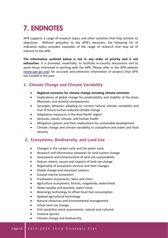## **7. ENDNOTES**

APN supports a range of research topics and other activities that help achieve its objectives. Without prejudice to the APN's decisions, the following list of indicative topics provides examples of the range of research that may be of interest to the APN.

**The information outlined below is not in any order of priority and is not exhaustive.** It is provided, essentially, to facilitate in-country discussions and to assist those interested in working with the APN. Please refer to the APN website (www.apn‐gcr.org) for accurate and extensive information of projects that APN has funded in the past.

#### **1. Climate Change and Climate Variability**

- **Regional scenarios for climate change including climate extremes**
- Implications of global change for predictability and stability of the Asian Monsoon, and societal consequences
- Synergies between adapting to current natural climate variability and that of future human‐induced climate change
- Adaptation measures in the Asia‐Pacific region
- Aerosols, clouds, climate, and human health
- Mitigation options and their implications for sustainable development
- Climate change and climate variability in cryosphere and water and food security

#### **2. Ecosystems, Biodiversity, and Land Use**

- Changes in the carbon cycle and the water cycle
- Research and information networks for land system change
- Assessment and enhancement of land use sustainability
- Nature, extent, causes and impacts of land use change
- Regionality of ecosystem services and their changes
- Global change and mountain systems
- Coastal marine ecosystem
- Freshwater ecosystems, lakes and rivers
- Agriculture ecosystems, forests, rangelands, watersheds
- Water quality and quantity, water reuse
- Bioenergy technology to offset fossil fuel consumption
- Applied agricultural technology
- Natural resources and environmental management
- Urban land use change
- Fish-stock/live-stock assessments, natural and cultured
- Invasive species
- Climate change and biodiversity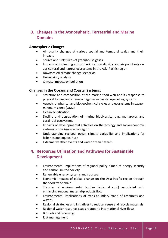#### **3. Changes in the Atmospheric, Terrestrial and Marine Domains**

#### **Atmospheric Change:**

- Air quality changes at various spatial and temporal scales and their impacts
- Source and sink fluxes of greenhouse gases
- Impacts of increasing atmospheric carbon dioxide and air pollutants on agricultural and natural ecosystems in the Asia‐Pacific region
- Downscaled climate change scenarios
- Uncertainty analysis
- Climate impacts on pollution

#### **Changes in the Oceans and Coastal Systems:**

- Structure and composition of the marine food web and its response to physical forcing and chemical regimes in coastal up‐welling systems
- Aspects of physical and biogeochemical cycles and ecosystems in oxygen minimum zones (OMZ)
- Ocean acidification
- Decline and degradation of marine biodiversity, e.g., mangroves and coral reef ecosystems
- Impacts of developmental activities on the ecology and socio-economic systems of the Asia‐Pacific region
- Understanding regional ocean climate variability and implications for fisheries and aquaculture
- Extreme weather events and water ocean hazards

#### **4. Resources Utilisation and Pathways for Sustainable Development**

- Environmental implications of regional policy aimed at energy security and carbon limited society
- Renewable energy systems and sources
- Economic impacts of global change on the Asia‐Pacific region through the food trade chain
- Transfer of environmental burden (external cost) associated with enhancing regional material/products flow
- Environmental implications of trans‐boundary trade of resources and wastes
- Regional strategies and initiatives to reduce, reuse and recycle materials
- Regional water resource issues related to international river flows
- Biofuels and bioenergy
- Risk management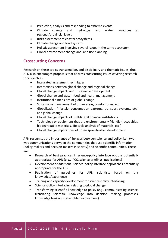- Prediction, analysis and responding to extreme events
- Climate change and hydrology and water resources at regional/provincial levels
- Risks assessment of coastal ecosystems
- Climate change and food systems
- Holistic assessment involving several issues in the same ecosystem
- Global environment change and land use planning

#### **Crosscutting Concerns**

Research on these topics transcend beyond disciplinary and thematic issues, thus APN also encourages proposals that address crosscutting issues covering research topics such as:

- Integrated assessment techniques
- Interactions between global change and regional change
- Global change impacts and sustainable development
- Global change and water, food and health management
- Institutional dimensions of global change
- Sustainable management of urban areas, coastal zones, etc.
- Globalisation (lifestyle, consumption patterns, transport systems, etc.) and global change
- Global change impacts of multilateral financial institutions
- Technology or equipment that are environmentally friendly (recyclables, biodegradable materials, life cycle analysis of materials, etc.)
- Global change implications of urban sprawl/urban development

APN recognises the importance of linkages between science and policy, i.e., twoway communications between the communities that use scientific information (policy‐makers and decision‐makers in society) and scientific communities. These are:

- Research of best practices in science‐policy interface options potentially appropriate for APN (e.g., IPCC, science briefings, publications)
- Development of additional science‐policy interface approaches potentially appropriate for the APN
- Publication of guidelines for APN scientists based on this knowledge/experience
- Training and capacity development for science‐policy interfacing
- Science-policy interfacing relating to global change
- Transforming scientific knowledge to policy (e.g., communicating science, translating scientific knowledge into decision making processes, knowledge brokers, stakeholder involvement)